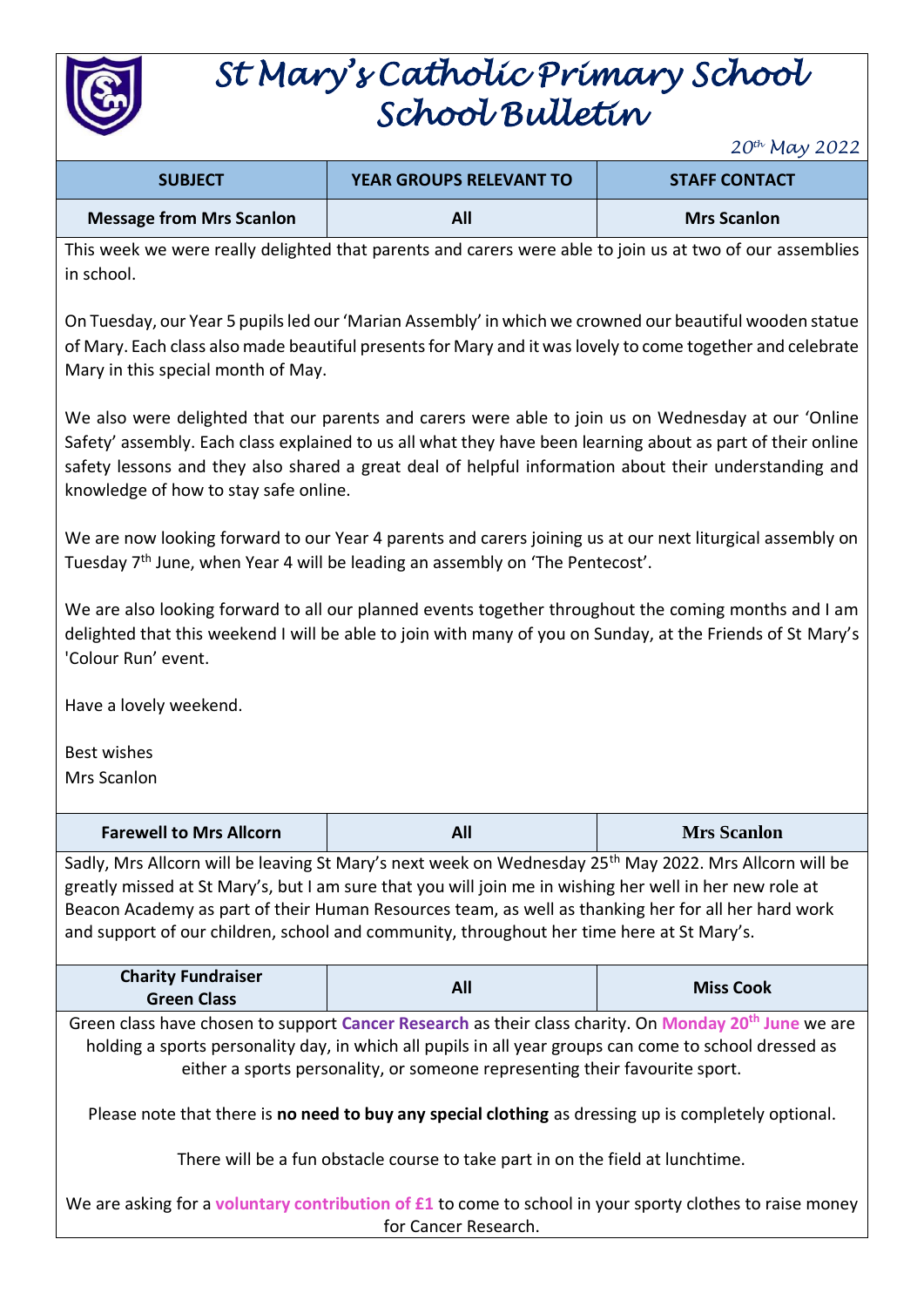

# *St Mary's Catholic Primary School School Bulletin*

*20th May 2022*

| <b>SUBJECT</b>                  | <b>YEAR GROUPS RELEVANT TO</b> | <b>STAFF CONTACT</b> |
|---------------------------------|--------------------------------|----------------------|
| <b>Message from Mrs Scanlon</b> | All                            | <b>Mrs Scanlon</b>   |

This week we were really delighted that parents and carers were able to join us at two of our assemblies in school.

On Tuesday, our Year 5 pupils led our 'Marian Assembly' in which we crowned our beautiful wooden statue of Mary. Each class also made beautiful presents for Mary and it was lovely to come together and celebrate Mary in this special month of May.

We also were delighted that our parents and carers were able to join us on Wednesday at our 'Online Safety' assembly. Each class explained to us all what they have been learning about as part of their online safety lessons and they also shared a great deal of helpful information about their understanding and knowledge of how to stay safe online.

We are now looking forward to our Year 4 parents and carers joining us at our next liturgical assembly on Tuesday 7<sup>th</sup> June, when Year 4 will be leading an assembly on 'The Pentecost'.

We are also looking forward to all our planned events together throughout the coming months and I am delighted that this weekend I will be able to join with many of you on Sunday, at the Friends of St Mary's 'Colour Run' event.

Have a lovely weekend.

Best wishes Mrs Scanlon

| <b>Farewell to Mrs Allcorn</b>                                                                                                                                                                                                                                                                                                                                                                                                    | All | <b>Mrs Scanlon</b> |
|-----------------------------------------------------------------------------------------------------------------------------------------------------------------------------------------------------------------------------------------------------------------------------------------------------------------------------------------------------------------------------------------------------------------------------------|-----|--------------------|
| Sadly, Mrs Allcorn will be leaving St Mary's next week on Wednesday 25 <sup>th</sup> May 2022. Mrs Allcorn will be<br>greatly missed at St Mary's, but I am sure that you will join me in wishing her well in her new role at<br>Beacon Academy as part of their Human Resources team, as well as thanking her for all her hard work<br>and support of our children, school and community, throughout her time here at St Mary's. |     |                    |
| <b>Charity Fundraiser</b><br><b>Green Class</b>                                                                                                                                                                                                                                                                                                                                                                                   | All | <b>Miss Cook</b>   |
| Green class have chosen to support Cancer Research as their class charity. On Monday 20 <sup>th</sup> June we are<br>holding a sports personality day, in which all pupils in all year groups can come to school dressed as<br>either a sports personality, or someone representing their favourite sport.                                                                                                                        |     |                    |
| Please note that there is no need to buy any special clothing as dressing up is completely optional.<br>There will be a fun obstacle course to take part in on the field at lunchtime.                                                                                                                                                                                                                                            |     |                    |
| We are asking for a voluntary contribution of $f1$ to come to school in your sporty clothes to raise money<br>for Cancer Research.                                                                                                                                                                                                                                                                                                |     |                    |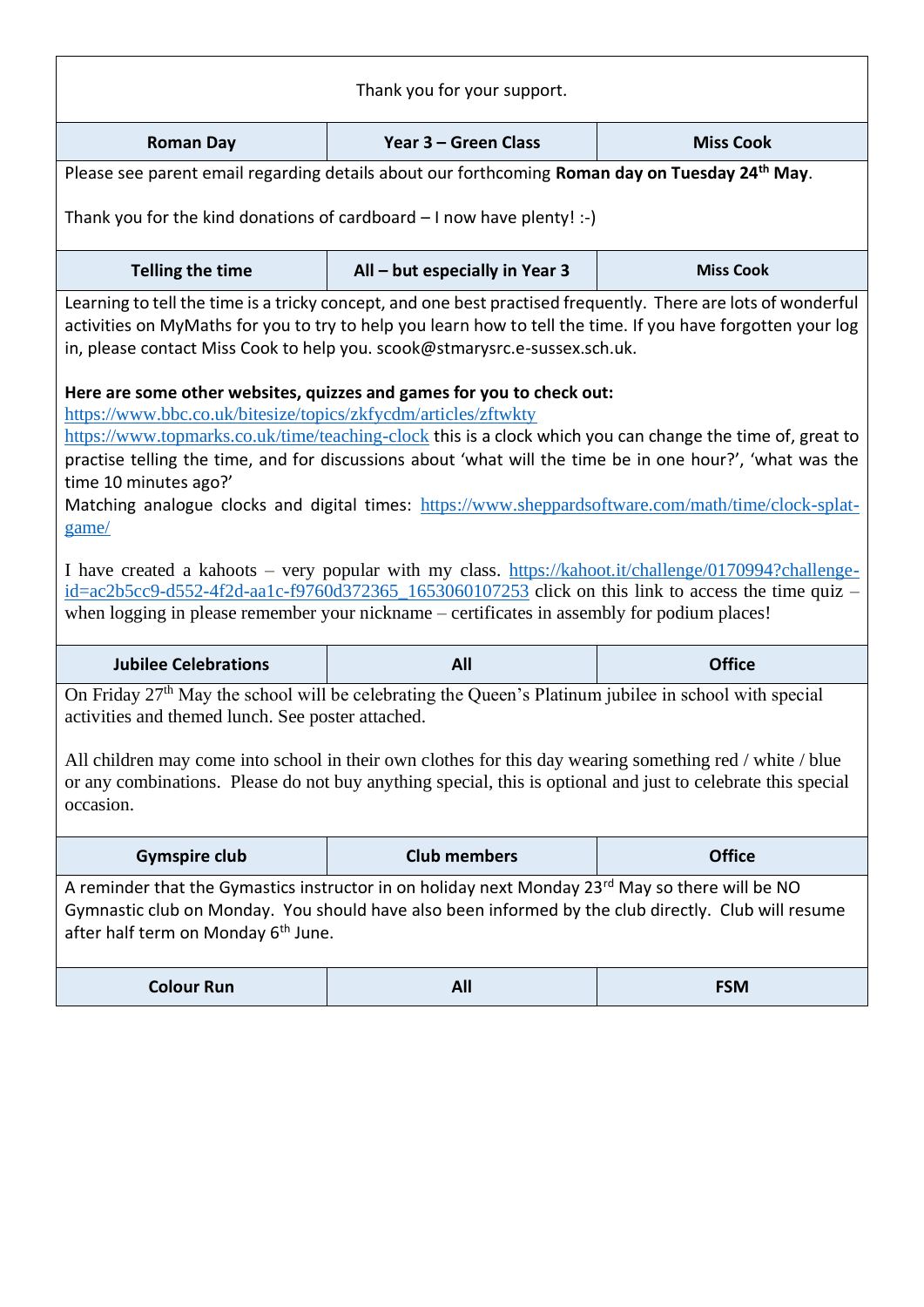| Thank you for your support.                                                                                                                                                                                                                                                                                                                                                                                                                                                                                                                                                                                                                                                                                                                                                                                                                                                                                                                                                                                                                                                                                                                         |                                                                                                            |                  |
|-----------------------------------------------------------------------------------------------------------------------------------------------------------------------------------------------------------------------------------------------------------------------------------------------------------------------------------------------------------------------------------------------------------------------------------------------------------------------------------------------------------------------------------------------------------------------------------------------------------------------------------------------------------------------------------------------------------------------------------------------------------------------------------------------------------------------------------------------------------------------------------------------------------------------------------------------------------------------------------------------------------------------------------------------------------------------------------------------------------------------------------------------------|------------------------------------------------------------------------------------------------------------|------------------|
| <b>Roman Day</b>                                                                                                                                                                                                                                                                                                                                                                                                                                                                                                                                                                                                                                                                                                                                                                                                                                                                                                                                                                                                                                                                                                                                    | Year 3 - Green Class                                                                                       | <b>Miss Cook</b> |
|                                                                                                                                                                                                                                                                                                                                                                                                                                                                                                                                                                                                                                                                                                                                                                                                                                                                                                                                                                                                                                                                                                                                                     | Please see parent email regarding details about our forthcoming Roman day on Tuesday 24 <sup>th</sup> May. |                  |
| Thank you for the kind donations of cardboard $-1$ now have plenty! :-)                                                                                                                                                                                                                                                                                                                                                                                                                                                                                                                                                                                                                                                                                                                                                                                                                                                                                                                                                                                                                                                                             |                                                                                                            |                  |
| <b>Telling the time</b>                                                                                                                                                                                                                                                                                                                                                                                                                                                                                                                                                                                                                                                                                                                                                                                                                                                                                                                                                                                                                                                                                                                             | All - but especially in Year 3                                                                             | <b>Miss Cook</b> |
| Learning to tell the time is a tricky concept, and one best practised frequently. There are lots of wonderful<br>activities on MyMaths for you to try to help you learn how to tell the time. If you have forgotten your log<br>in, please contact Miss Cook to help you. scook@stmarysrc.e-sussex.sch.uk.<br>Here are some other websites, quizzes and games for you to check out:<br>https://www.bbc.co.uk/bitesize/topics/zkfycdm/articles/zftwkty<br>https://www.topmarks.co.uk/time/teaching-clock this is a clock which you can change the time of, great to<br>practise telling the time, and for discussions about 'what will the time be in one hour?', 'what was the<br>time 10 minutes ago?'<br>Matching analogue clocks and digital times: https://www.sheppardsoftware.com/math/time/clock-splat-<br>game/<br>I have created a kahoots – very popular with my class. https://kahoot.it/challenge/0170994?challenge-<br>$id = ac2b5cc9 - d552 - 4f2d - aalc - f9760d372365 - 1653060107253$ click on this link to access the time quiz –<br>when logging in please remember your nickname – certificates in assembly for podium places! |                                                                                                            |                  |
| <b>Jubilee Celebrations</b>                                                                                                                                                                                                                                                                                                                                                                                                                                                                                                                                                                                                                                                                                                                                                                                                                                                                                                                                                                                                                                                                                                                         | All                                                                                                        | <b>Office</b>    |
| On Friday 27 <sup>th</sup> May the school will be celebrating the Queen's Platinum jubilee in school with special<br>activities and themed lunch. See poster attached.<br>All children may come into school in their own clothes for this day wearing something red / white / blue<br>or any combinations. Please do not buy anything special, this is optional and just to celebrate this special<br>occasion.                                                                                                                                                                                                                                                                                                                                                                                                                                                                                                                                                                                                                                                                                                                                     |                                                                                                            |                  |
| <b>Gymspire club</b>                                                                                                                                                                                                                                                                                                                                                                                                                                                                                                                                                                                                                                                                                                                                                                                                                                                                                                                                                                                                                                                                                                                                | <b>Club members</b>                                                                                        | <b>Office</b>    |
| A reminder that the Gymastics instructor in on holiday next Monday 23 <sup>rd</sup> May so there will be NO<br>Gymnastic club on Monday. You should have also been informed by the club directly. Club will resume<br>after half term on Monday 6 <sup>th</sup> June.                                                                                                                                                                                                                                                                                                                                                                                                                                                                                                                                                                                                                                                                                                                                                                                                                                                                               |                                                                                                            |                  |
| <b>Colour Run</b>                                                                                                                                                                                                                                                                                                                                                                                                                                                                                                                                                                                                                                                                                                                                                                                                                                                                                                                                                                                                                                                                                                                                   | All                                                                                                        | <b>FSM</b>       |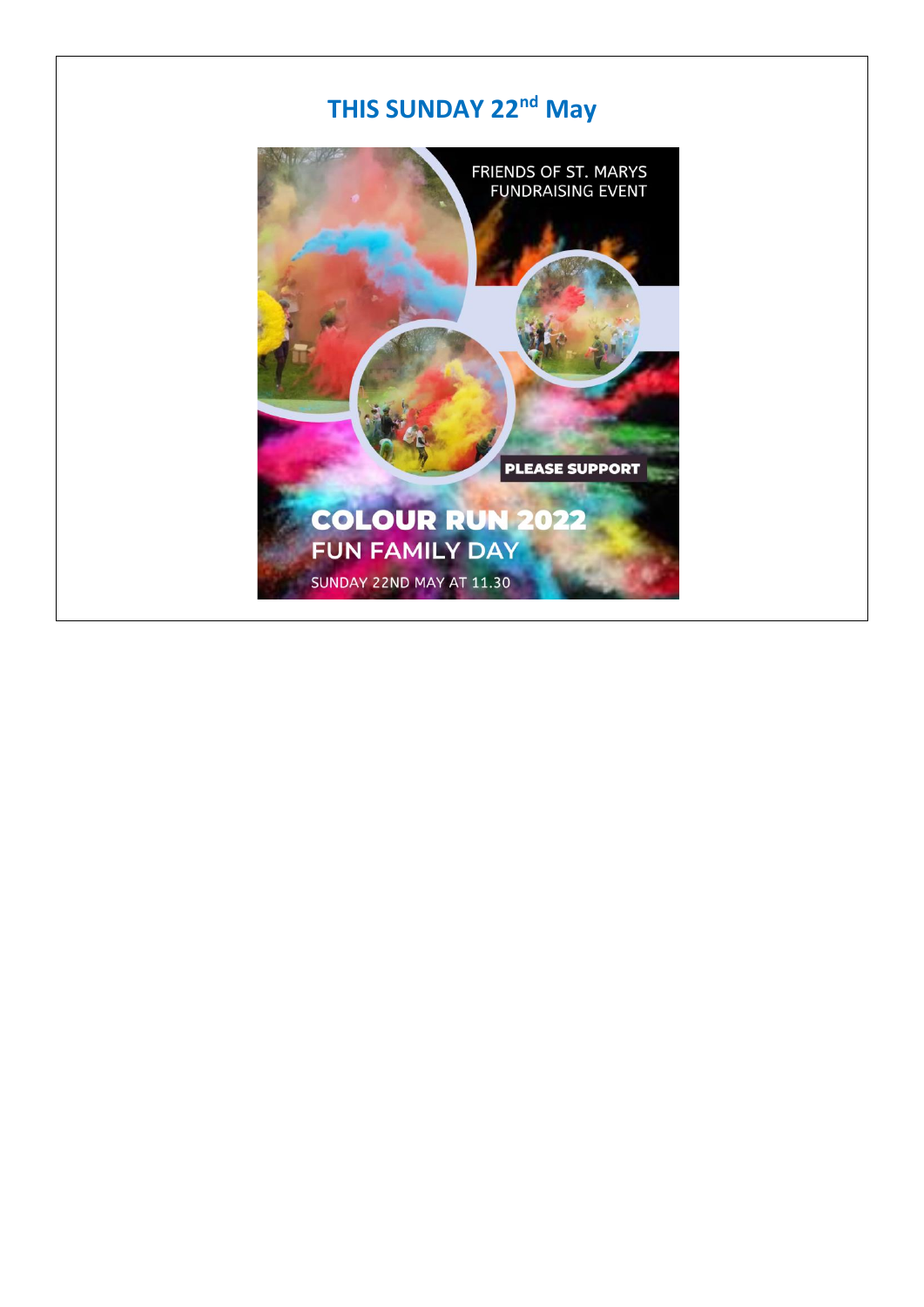## THIS SUNDAY 22<sup>nd</sup> May

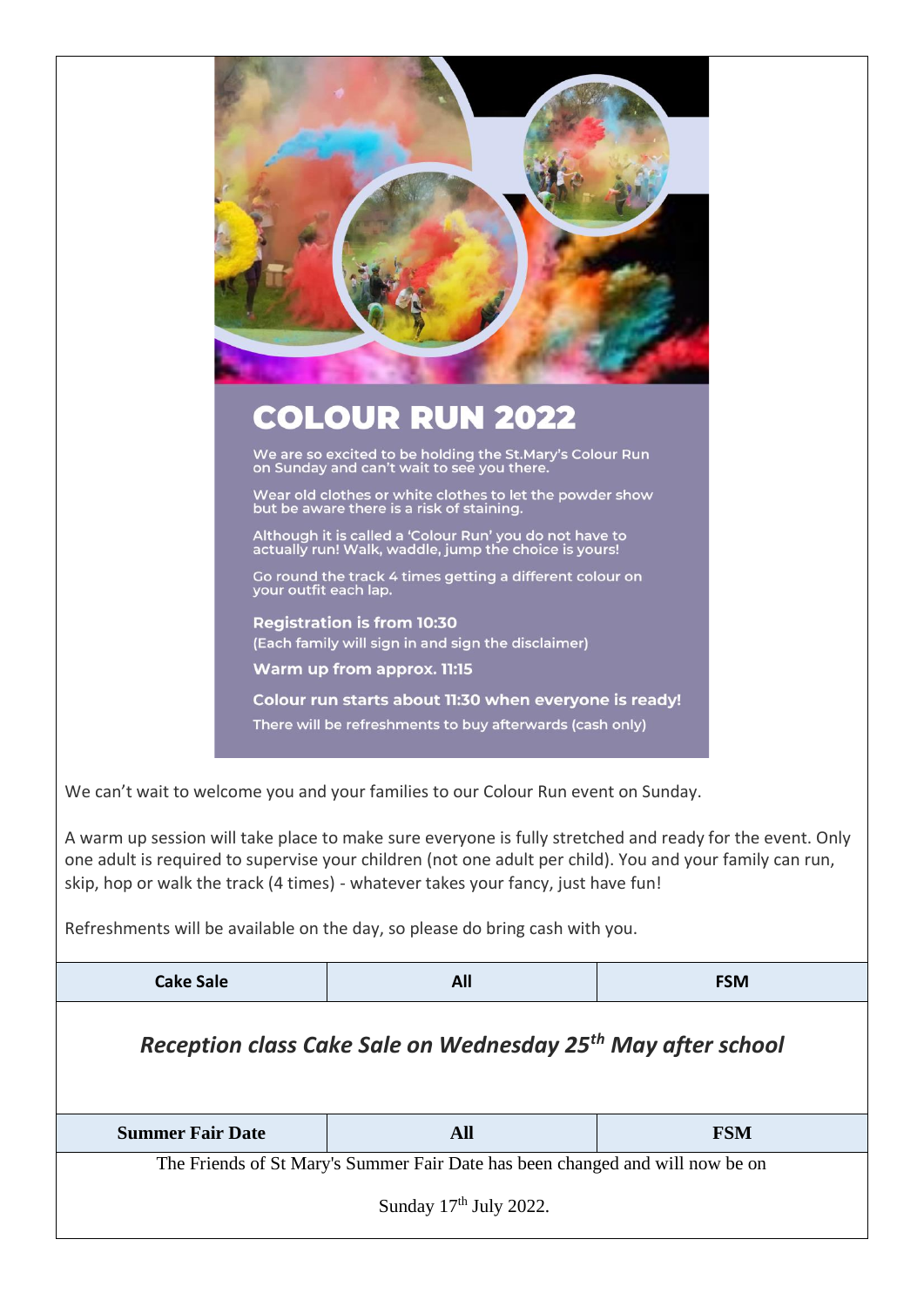

We are so excited to be holding the St.Mary's Colour Run<br>on Sunday and can't wait to see you there.

Wear old clothes or white clothes to let the powder show<br>but be aware there is a risk of staining.

Although it is called a 'Colour Run' you do not have to<br>actually run! Walk, waddle, jump the choice is yours!

Go round the track 4 times getting a different colour on<br>your outfit each lap.

**Registration is from 10:30** (Each family will sign in and sign the disclaimer)

Warm up from approx. 11:15

Colour run starts about 11:30 when everyone is ready! There will be refreshments to buy afterwards (cash only)

I

We can't wait to welcome you and your families to our Colour Run event on Sunday.

A warm up session will take place to make sure everyone is fully stretched and ready for the event. Only one adult is required to supervise your children (not one adult per child). You and your family can run, skip, hop or walk the track (4 times) - whatever takes your fancy, just have fun!

Refreshments will be available on the day, so please do bring cash with you.

| <b>Cake Sale</b>                                                         | All                                                                           | <b>FSM</b> |  |
|--------------------------------------------------------------------------|-------------------------------------------------------------------------------|------------|--|
| Reception class Cake Sale on Wednesday 25 <sup>th</sup> May after school |                                                                               |            |  |
|                                                                          |                                                                               |            |  |
| <b>Summer Fair Date</b>                                                  | <b>All</b>                                                                    | <b>FSM</b> |  |
|                                                                          | The Friends of St Mary's Summer Fair Date has been changed and will now be on |            |  |
|                                                                          |                                                                               |            |  |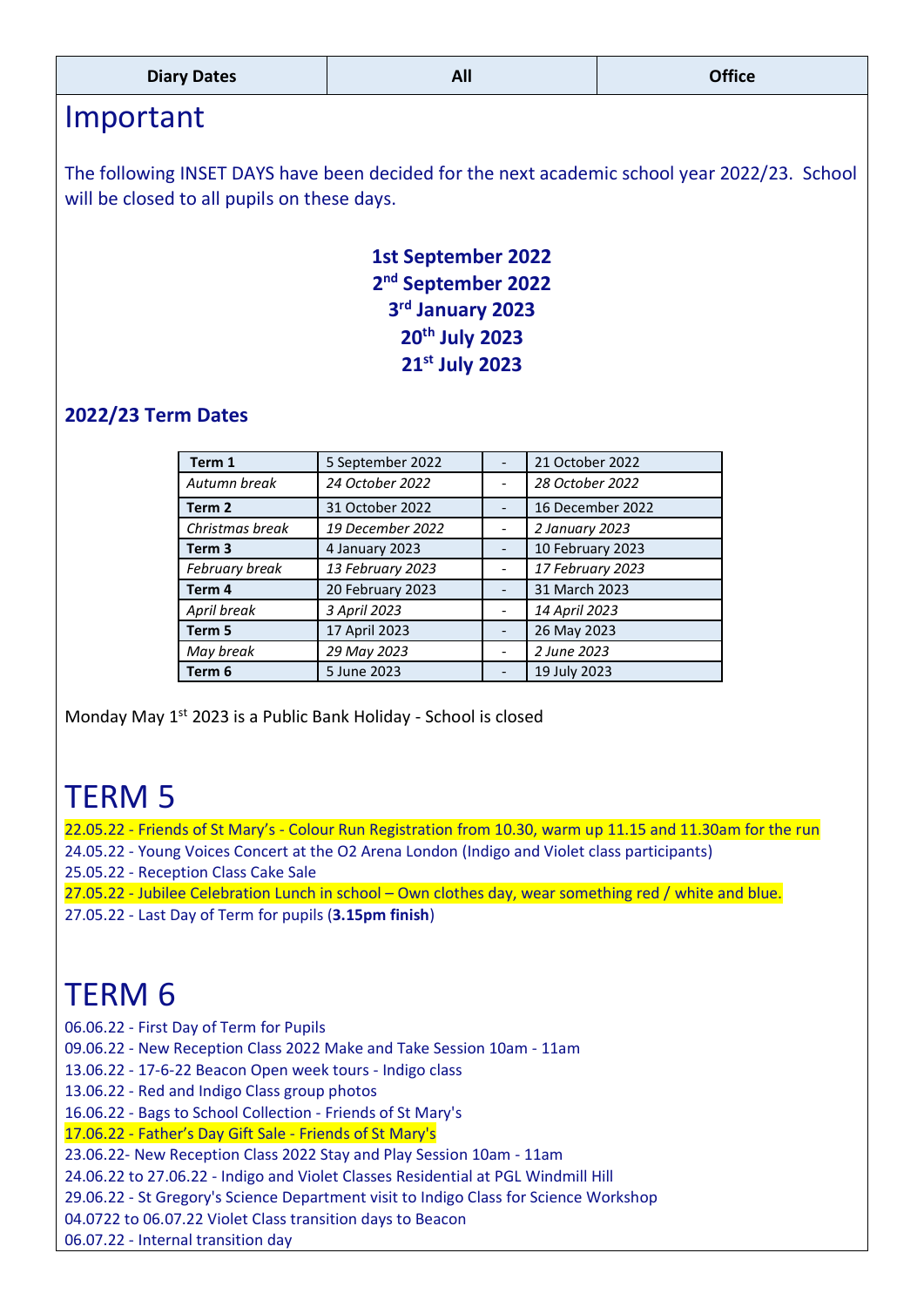| <b>Diary Dates</b> | <u>AU</u> | $-0.00$ |
|--------------------|-----------|---------|
|                    |           |         |

### Important

The following INSET DAYS have been decided for the next academic school year 2022/23. School will be closed to all pupils on these days.

> **1st September 2022 nd September 2022 rd January 2023 th July 2023 st July 2023**

#### **2022/23 Term Dates**

| Term 1            | 5 September 2022 | 21 October 2022  |
|-------------------|------------------|------------------|
| Autumn break      | 24 October 2022  | 28 October 2022  |
| Term 2            | 31 October 2022  | 16 December 2022 |
| Christmas break   | 19 December 2022 | 2 January 2023   |
| Term <sub>3</sub> | 4 January 2023   | 10 February 2023 |
| February break    | 13 February 2023 | 17 February 2023 |
| Term 4            | 20 February 2023 | 31 March 2023    |
| April break       | 3 April 2023     | 14 April 2023    |
| Term 5            | 17 April 2023    | 26 May 2023      |
| May break         | 29 May 2023      | 2 June 2023      |
| Term 6            | 5 June 2023      | 19 July 2023     |

Monday May 1<sup>st</sup> 2023 is a Public Bank Holiday - School is closed

## TERM 5

22.05.22 - Friends of St Mary's - Colour Run Registration from 10.30, warm up 11.15 and 11.30am for the run

- 24.05.22 Young Voices Concert at the O2 Arena London (Indigo and Violet class participants)
- 25.05.22 Reception Class Cake Sale
- 27.05.22 Jubilee Celebration Lunch in school Own clothes day, wear something red / white and blue.
- 27.05.22 Last Day of Term for pupils (**3.15pm finish**)

# TERM 6

06.06.22 - First Day of Term for Pupils

09.06.22 - New Reception Class 2022 Make and Take Session 10am - 11am

13.06.22 - 17-6-22 Beacon Open week tours - Indigo class

13.06.22 - Red and Indigo Class group photos

16.06.22 - Bags to School Collection - Friends of St Mary's

17.06.22 - Father's Day Gift Sale - Friends of St Mary's

23.06.22- New Reception Class 2022 Stay and Play Session 10am - 11am

24.06.22 to 27.06.22 - Indigo and Violet Classes Residential at PGL Windmill Hill

29.06.22 - St Gregory's Science Department visit to Indigo Class for Science Workshop

04.0722 to 06.07.22 Violet Class transition days to Beacon

06.07.22 - Internal transition day